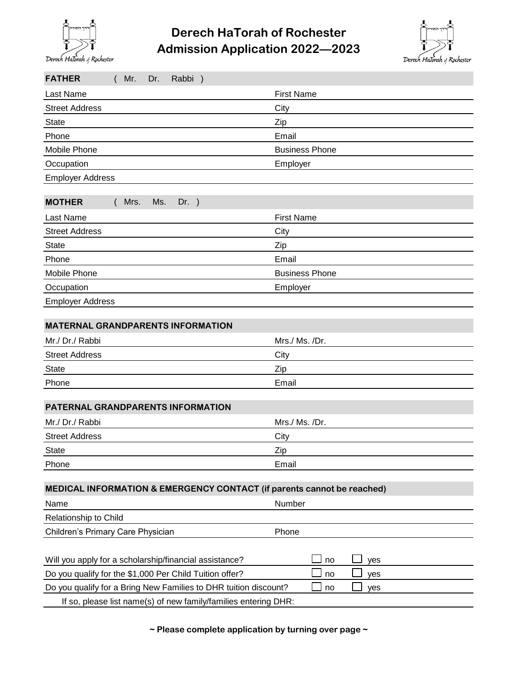

## **Admission Application 2022—2023 Derech HaTorah of Rochester**



| <b>FATHER</b><br>(Mr.<br>Rabbi)<br>Dr.                                        |                       |  |
|-------------------------------------------------------------------------------|-----------------------|--|
| Last Name                                                                     | <b>First Name</b>     |  |
| <b>Street Address</b>                                                         | City                  |  |
| <b>State</b>                                                                  | Zip                   |  |
| Phone                                                                         | Email                 |  |
| Mobile Phone                                                                  | <b>Business Phone</b> |  |
| Occupation                                                                    | Employer              |  |
| <b>Employer Address</b>                                                       |                       |  |
|                                                                               |                       |  |
| <b>MOTHER</b><br>Mrs.<br>Ms.<br>$Dr.$ )                                       |                       |  |
| Last Name                                                                     | <b>First Name</b>     |  |
| <b>Street Address</b>                                                         | City                  |  |
| <b>State</b>                                                                  | Zip                   |  |
| Phone                                                                         | Email                 |  |
| Mobile Phone                                                                  | <b>Business Phone</b> |  |
| Occupation                                                                    | Employer              |  |
| <b>Employer Address</b>                                                       |                       |  |
|                                                                               |                       |  |
| <b>MATERNAL GRANDPARENTS INFORMATION</b>                                      |                       |  |
| Mr./ Dr./ Rabbi                                                               | Mrs./ Ms./Dr.         |  |
| <b>Street Address</b>                                                         | City                  |  |
| <b>State</b>                                                                  | Zip                   |  |
| Phone                                                                         | Email                 |  |
| PATERNAL GRANDPARENTS INFORMATION                                             |                       |  |
| Mr./ Dr./ Rabbi                                                               | Mrs./ Ms./Dr.         |  |
| <b>Street Address</b>                                                         | City                  |  |
| <b>State</b>                                                                  | Zip                   |  |
| Phone                                                                         | Email                 |  |
|                                                                               |                       |  |
| MEDICAL INFORMATION & EMERGENCY CONTACT (if parents cannot be reached)        |                       |  |
| Name                                                                          | Number                |  |
| Relationship to Child                                                         |                       |  |
| Children's Primary Care Physician                                             | Phone                 |  |
| Will you apply for a scholarship/financial assistance?                        | no<br>yes             |  |
| Do you qualify for the \$1,000 Per Child Tuition offer?                       | no<br>yes             |  |
| Do you qualify for a Bring New Families to DHR tuition discount?<br>yes<br>no |                       |  |
| If so, please list name(s) of new family/families entering DHR:               |                       |  |

**~ Please complete application by turning over page ~**